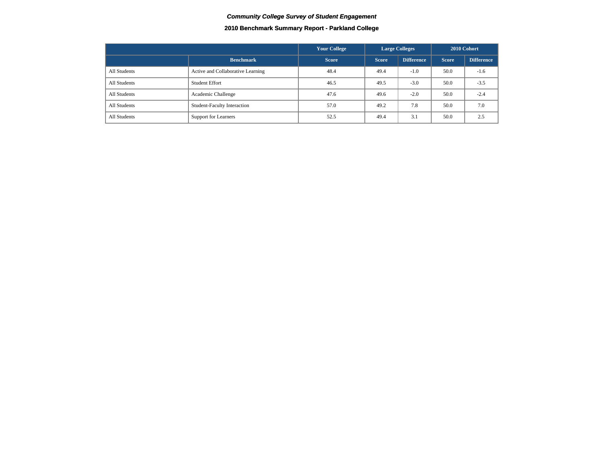### **2010 Benchmark Summary Report - Parkland College**

|              |                                    | <b>Your College</b> | <b>Large Colleges</b> |                   |              | 2010 Cohort       |
|--------------|------------------------------------|---------------------|-----------------------|-------------------|--------------|-------------------|
|              | <b>Benchmark</b>                   | <b>Score</b>        | <b>Score</b>          | <b>Difference</b> | <b>Score</b> | <b>Difference</b> |
| All Students | Active and Collaborative Learning  | 48.4                | 49.4                  | $-1.0$            | 50.0         | $-1.6$            |
| All Students | <b>Student Effort</b>              | 46.5                | 49.5                  | $-3.0$            | 50.0         | $-3.5$            |
| All Students | Academic Challenge                 | 47.6                | 49.6                  | $-2.0$            | 50.0         | $-2.4$            |
| All Students | <b>Student-Faculty Interaction</b> | 57.0                | 49.2                  | 7.8               | 50.0         | 7.0               |
| All Students | Support for Learners               | 52.5                | 49.4                  | 3.1               | 50.0         | 2.5               |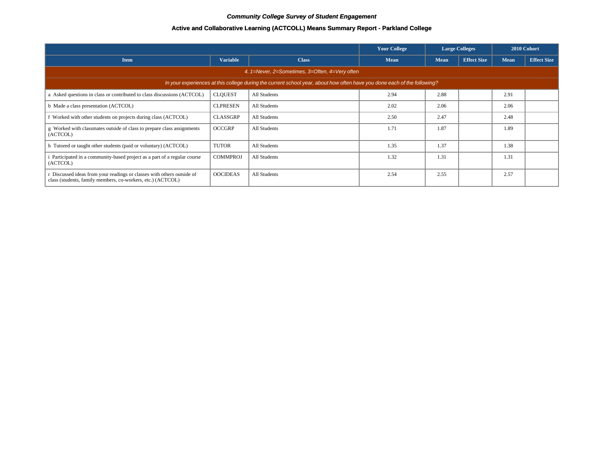### **Active and Collaborative Learning (ACTCOLL) Means Summary Report - Parkland College**

|                                                                                                                                     |                                                |              | <b>Your College</b> |             | <b>Large Colleges</b> | 2010 Cohort |                    |  |  |  |  |  |
|-------------------------------------------------------------------------------------------------------------------------------------|------------------------------------------------|--------------|---------------------|-------------|-----------------------|-------------|--------------------|--|--|--|--|--|
| <b>Item</b>                                                                                                                         | <b>Variable</b>                                | <b>Class</b> | Mean                | <b>Mean</b> | <b>Effect Size</b>    | <b>Mean</b> | <b>Effect Size</b> |  |  |  |  |  |
|                                                                                                                                     | 4. 1=Never, 2=Sometimes, 3=Often, 4=Very often |              |                     |             |                       |             |                    |  |  |  |  |  |
| In your experiences at this college during the current school year, about how often have you done each of the following?            |                                                |              |                     |             |                       |             |                    |  |  |  |  |  |
| a Asked questions in class or contributed to class discussions (ACTCOL)                                                             | <b>CLQUEST</b>                                 | All Students | 2.94                | 2.88        |                       | 2.91        |                    |  |  |  |  |  |
| b Made a class presentation (ACTCOL)                                                                                                | <b>CLPRESEN</b>                                | All Students | 2.02                | 2.06        |                       | 2.06        |                    |  |  |  |  |  |
| Worked with other students on projects during class (ACTCOL)                                                                        | <b>CLASSGRP</b>                                | All Students | 2.50                | 2.47        |                       | 2.48        |                    |  |  |  |  |  |
| g Worked with classmates outside of class to prepare class assignments<br>(ACTCOL)                                                  | <b>OCCGRP</b>                                  | All Students | 1.71                | 1.87        |                       | 1.89        |                    |  |  |  |  |  |
| h Tutored or taught other students (paid or voluntary) (ACTCOL)                                                                     | <b>TUTOR</b>                                   | All Students | 1.35                | 1.37        |                       | 1.38        |                    |  |  |  |  |  |
| Participated in a community-based project as a part of a regular course<br>(ACTCOL)                                                 | <b>COMMPROJ</b>                                | All Students | 1.32                | 1.31        |                       | 1.31        |                    |  |  |  |  |  |
| Discussed ideas from your readings or classes with others outside of<br>class (students, family members, co-workers, etc.) (ACTCOL) | <b>OOCIDEAS</b>                                | All Students | 2.54                | 2.55        |                       | 2.57        |                    |  |  |  |  |  |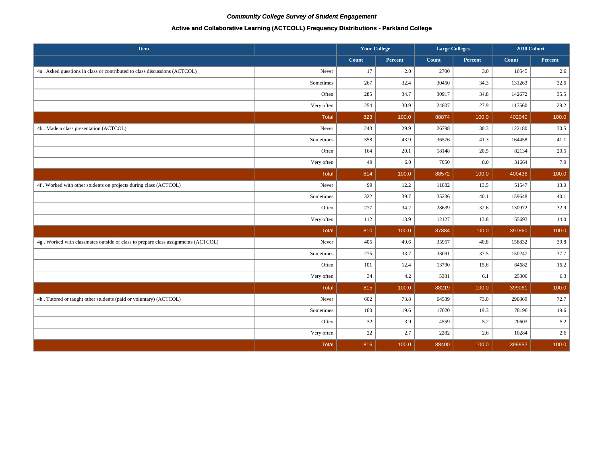### **Active and Collaborative Learning (ACTCOLL) Frequency Distributions - Parkland College**

| <b>Item</b>                                                                       |              | <b>Your College</b> |                | <b>Large Colleges</b> |         | 2010 Cohort |         |
|-----------------------------------------------------------------------------------|--------------|---------------------|----------------|-----------------------|---------|-------------|---------|
|                                                                                   |              | Count               | <b>Percent</b> | Count                 | Percent | Count       | Percent |
| 4a . Asked questions in class or contributed to class discussions (ACTCOL)        | Never        | 17                  | 2.0            | 2700                  | 3.0     | 10545       | 2.6     |
|                                                                                   | Sometimes    | 267                 | 32.4           | 30450                 | 34.3    | 131263      | 32.6    |
|                                                                                   | Often        | 285                 | 34.7           | 30917                 | 34.8    | 142672      | 35.5    |
|                                                                                   | Very often   | 254                 | 30.9           | 24807                 | 27.9    | 117560      | 29.2    |
|                                                                                   | Total        | 823                 | 100.0          | 88874                 | 100.0   | 402040      | 100.0   |
| 4b . Made a class presentation (ACTCOL)                                           | Never        | 243                 | 29.9           | 26798                 | 30.3    | 122180      | 30.5    |
|                                                                                   | Sometimes    | 358                 | 43.9           | 36576                 | 41.3    | 164458      | 41.1    |
|                                                                                   | Often        | 164                 | 20.1           | 18148                 | 20.5    | 82134       | 20.5    |
|                                                                                   | Very often   | 49                  | 6.0            | 7050                  | 8.0     | 31664       | 7.9     |
|                                                                                   | <b>Total</b> | 814                 | 100.0          | 88572                 | 100.0   | 400436      | 100.0   |
| 4f. Worked with other students on projects during class (ACTCOL)                  | Never        | 99                  | 12.2           | 11882                 | 13.5    | 51547       | 13.0    |
|                                                                                   | Sometimes    | 322                 | 39.7           | 35236                 | 40.1    | 159648      | 40.1    |
|                                                                                   | Often        | 277                 | 34.2           | 28639                 | 32.6    | 130972      | 32.9    |
|                                                                                   | Very often   | 112                 | 13.9           | 12127                 | 13.8    | 55693       | 14.0    |
|                                                                                   | <b>Total</b> | 810                 | 100.0          | 87884                 | 100.0   | 397860      | 100.0   |
| 4g. Worked with classmates outside of class to prepare class assignments (ACTCOL) | Never        | 405                 | 49.6           | 35957                 | 40.8    | 158832      | 39.8    |
|                                                                                   | Sometimes    | 275                 | 33.7           | 33091                 | 37.5    | 150247      | 37.7    |
|                                                                                   | Often        | 101                 | 12.4           | 13790                 | 15.6    | 64682       | 16.2    |
|                                                                                   | Very often   | 34                  | 4.2            | 5381                  | 6.1     | 25300       | 6.3     |
|                                                                                   | Total        | 815                 | 100.0          | 88219                 | 100.0   | 399061      | 100.0   |
| 4h. Tutored or taught other students (paid or voluntary) (ACTCOL)                 | Never        | 602                 | 73.8           | 64539                 | 73.0    | 290869      | 72.7    |
|                                                                                   | Sometimes    | 160                 | 19.6           | 17020                 | 19.3    | 78196       | 19.6    |
|                                                                                   | Often        | 32                  | 3.9            | 4559                  | 5.2     | 20603       | 5.2     |
|                                                                                   | Very often   | 22                  | 2.7            | 2282                  | 2.6     | 10284       | 2.6     |
|                                                                                   | Total        | 816                 | 100.0          | 88400                 | 100.0   | 399952      | 100.0   |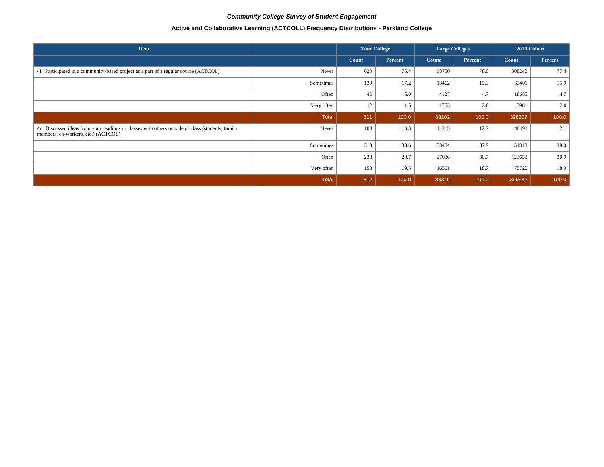# **Active and Collaborative Learning (ACTCOLL) Frequency Distributions - Parkland College**

| <b>Item</b>                                                                                                                             |            | <b>Your College</b> |         | <b>Large Colleges</b> |         | 2010 Cohort |         |
|-----------------------------------------------------------------------------------------------------------------------------------------|------------|---------------------|---------|-----------------------|---------|-------------|---------|
|                                                                                                                                         |            | Count               | Percent | Count                 | Percent | Count       | Percent |
| 4i. Participated in a community-based project as a part of a regular course (ACTCOL)                                                    | Never      | 620                 | 76.4    | 68750                 | 78.0    | 308240      | 77.4    |
|                                                                                                                                         | Sometimes  | 139                 | 17.2    | 13462                 | 15.3    | 63401       | 15.9    |
|                                                                                                                                         | Often      | 40                  | 5.0     | 4127                  | 4.7     | 18685       | 4.7     |
|                                                                                                                                         | Very often | 12                  | 1.5     | 1763                  | 2.0     | 7981        | 2.0     |
|                                                                                                                                         | Total      | 811                 | 100.0   | 88102                 | 100.0   | 398307      | 100.0   |
| 4r. Discussed ideas from your readings or classes with others outside of class (students, family<br>members, co-workers, etc.) (ACTCOL) | Never      | 108                 | 13.3    | 11215                 | 12.7    | 48491       | 12.1    |
|                                                                                                                                         | Sometimes  | 313                 | 38.6    | 33484                 | 37.9    | 151813      | 38.0    |
|                                                                                                                                         | Often      | 233                 | 28.7    | 27086                 | 30.7    | 123658      | 30.9    |
|                                                                                                                                         | Very often | 158                 | 19.5    | 16561                 | 18.7    | 75720       | 18.9    |
|                                                                                                                                         | Total      | 812                 | 100.0   | 88346                 | 100.0   | 399682      | 100.0   |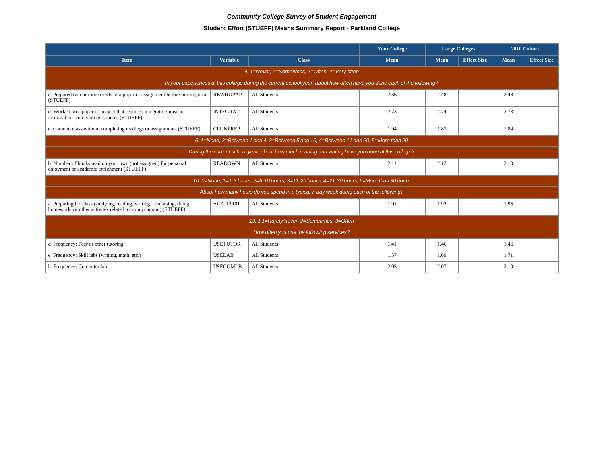# **Student Effort (STUEFF) Means Summary Report - Parkland College**

|                                                                                                                                        |                 |                                                                                                                          | <b>Your College</b> | <b>Large Colleges</b> |                    | 2010 Cohort |                    |  |  |  |  |
|----------------------------------------------------------------------------------------------------------------------------------------|-----------------|--------------------------------------------------------------------------------------------------------------------------|---------------------|-----------------------|--------------------|-------------|--------------------|--|--|--|--|
| <b>Item</b>                                                                                                                            | <b>Variable</b> | <b>Class</b>                                                                                                             | <b>Mean</b>         | <b>Mean</b>           | <b>Effect Size</b> | Mean        | <b>Effect Size</b> |  |  |  |  |
|                                                                                                                                        |                 | 4. 1=Never, 2=Sometimes, 3=Often, 4=Very often                                                                           |                     |                       |                    |             |                    |  |  |  |  |
|                                                                                                                                        |                 | In your experiences at this college during the current school year, about how often have you done each of the following? |                     |                       |                    |             |                    |  |  |  |  |
| c Prepared two or more drafts of a paper or assignment before turning it in<br>(STUEFF)                                                | <b>REWROPAP</b> | All Students                                                                                                             | 2.36                | 2.48                  |                    | 2.48        |                    |  |  |  |  |
| d Worked on a paper or project that required integrating ideas or<br>information from various sources (STUEFF)                         | <b>INTEGRAT</b> | All Students                                                                                                             | 2.73                | 2.74                  |                    | 2.73        |                    |  |  |  |  |
| e Came to class without completing readings or assignments (STUEFF)                                                                    | <b>CLUNPREP</b> | All Students                                                                                                             | 1.94                | 1.87                  |                    | 1.84        |                    |  |  |  |  |
| 6. 1=None, 2=Between 1 and 4, 3=Between 5 and 10, 4=Between 11 and 20, 5=More than 20                                                  |                 |                                                                                                                          |                     |                       |                    |             |                    |  |  |  |  |
|                                                                                                                                        |                 | During the current school year, about how much reading and writing have you done at this college?                        |                     |                       |                    |             |                    |  |  |  |  |
| b Number of books read on your own (not assigned) for personal<br>enjoyment or academic enrichment (STUEFF)                            | <b>READOWN</b>  | All Students                                                                                                             | 2.11                | 2.12                  |                    | 2.10        |                    |  |  |  |  |
|                                                                                                                                        |                 | 10. 0=None, 1=1-5 hours, 2=6-10 hours, 3=11-20 hours, 4=21-30 hours, 5=More than 30 hours                                |                     |                       |                    |             |                    |  |  |  |  |
|                                                                                                                                        |                 | About how many hours do you spend in a typical 7-day week doing each of the following?                                   |                     |                       |                    |             |                    |  |  |  |  |
| a Preparing for class (studying, reading, writing, rehearsing, doing<br>homework, or other activites related to your program) (STUEFF) | ACADPR01        | All Students                                                                                                             | 1.91                | 1.92                  |                    | 1.95        |                    |  |  |  |  |
|                                                                                                                                        |                 | 13. 1 1=Rarely/never, 2=Sometimes, 3=Often                                                                               |                     |                       |                    |             |                    |  |  |  |  |
|                                                                                                                                        |                 | How often you use the following services?                                                                                |                     |                       |                    |             |                    |  |  |  |  |
| d Frequency: Peer or other tutoring                                                                                                    | <b>USETUTOR</b> | All Students                                                                                                             | 1.41                | 1.46                  |                    | 1.46        |                    |  |  |  |  |
| e Frequency: Skill labs (writing, math, etc.)                                                                                          | <b>USELAB</b>   | All Students                                                                                                             | 1.57                | 1.69                  |                    | 1.71        |                    |  |  |  |  |
| h Frequency: Computer lab                                                                                                              | <b>USECOMLB</b> | All Students                                                                                                             | 2.05                | 2.07                  |                    | 2.10        |                    |  |  |  |  |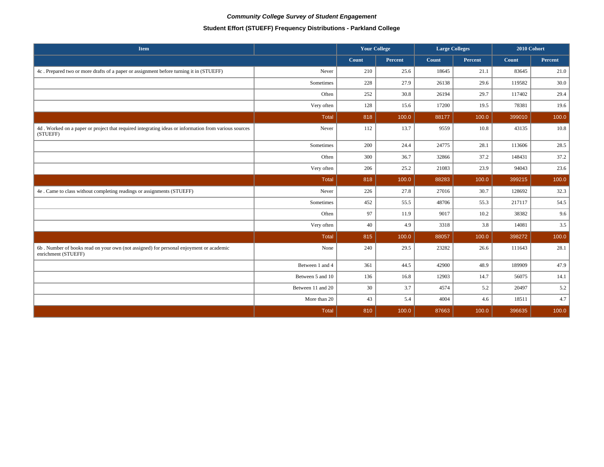# **Student Effort (STUEFF) Frequency Distributions - Parkland College**

| Item                                                                                                             |                   | <b>Your College</b> |         | <b>Large Colleges</b> |         | 2010 Cohort |         |
|------------------------------------------------------------------------------------------------------------------|-------------------|---------------------|---------|-----------------------|---------|-------------|---------|
|                                                                                                                  |                   | Count               | Percent | Count                 | Percent | Count       | Percent |
| 4c. Prepared two or more drafts of a paper or assignment before turning it in (STUEFF)                           | Never             | 210                 | 25.6    | 18645                 | 21.1    | 83645       | 21.0    |
|                                                                                                                  | Sometimes         | 228                 | 27.9    | 26138                 | 29.6    | 119582      | 30.0    |
|                                                                                                                  | Often             | 252                 | 30.8    | 26194                 | 29.7    | 117402      | 29.4    |
|                                                                                                                  | Very often        | 128                 | 15.6    | 17200                 | 19.5    | 78381       | 19.6    |
|                                                                                                                  | <b>Total</b>      | 818                 | 100.0   | 88177                 | 100.0   | 399010      | 100.0   |
| 4d. Worked on a paper or project that required integrating ideas or information from various sources<br>(STUEFF) | Never             | 112                 | 13.7    | 9559                  | 10.8    | 43135       | 10.8    |
|                                                                                                                  | Sometimes         | 200                 | 24.4    | 24775                 | 28.1    | 113606      | 28.5    |
|                                                                                                                  | Often             | 300                 | 36.7    | 32866                 | 37.2    | 148431      | 37.2    |
|                                                                                                                  | Very often        | 206                 | 25.2    | 21083                 | 23.9    | 94043       | 23.6    |
|                                                                                                                  | <b>Total</b>      | 818                 | 100.0   | 88283                 | 100.0   | 399215      | 100.0   |
| 4e . Came to class without completing readings or assignments (STUEFF)                                           | Never             | 226                 | 27.8    | 27016                 | 30.7    | 128692      | 32.3    |
|                                                                                                                  | Sometimes         | 452                 | 55.5    | 48706                 | 55.3    | 217117      | 54.5    |
|                                                                                                                  | Often             | 97                  | 11.9    | 9017                  | 10.2    | 38382       | 9.6     |
|                                                                                                                  | Very often        | 40                  | 4.9     | 3318                  | 3.8     | 14081       | 3.5     |
|                                                                                                                  | Total             | 815                 | 100.0   | 88057                 | 100.0   | 398272      | 100.0   |
| 6b. Number of books read on your own (not assigned) for personal enjoyment or academic<br>enrichment (STUEFF)    | None              | 240                 | 29.5    | 23282                 | 26.6    | 111643      | 28.1    |
|                                                                                                                  | Between 1 and 4   | 361                 | 44.5    | 42900                 | 48.9    | 189909      | 47.9    |
|                                                                                                                  | Between 5 and 10  | 136                 | 16.8    | 12903                 | 14.7    | 56075       | 14.1    |
|                                                                                                                  | Between 11 and 20 | 30                  | 3.7     | 4574                  | 5.2     | 20497       | 5.2     |
|                                                                                                                  | More than 20      | 43                  | 5.4     | 4004                  | 4.6     | 18511       | 4.7     |
|                                                                                                                  | <b>Total</b>      | 810                 | 100.0   | 87663                 | 100.0   | 396635      | 100.0   |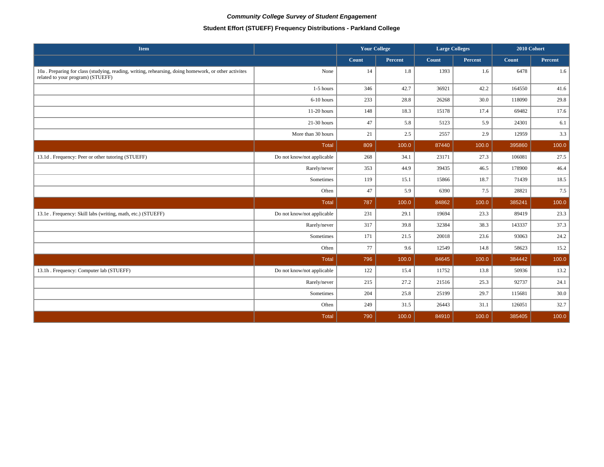# **Student Effort (STUEFF) Frequency Distributions - Parkland College**

| Item                                                                                                                                       |                            | <b>Your College</b> |         | <b>Large Colleges</b> |         | 2010 Cohort |         |
|--------------------------------------------------------------------------------------------------------------------------------------------|----------------------------|---------------------|---------|-----------------------|---------|-------------|---------|
|                                                                                                                                            |                            | Count               | Percent | Count                 | Percent | Count       | Percent |
| 10a. Preparing for class (studying, reading, writing, rehearsing, doing homework, or other activities<br>related to your program) (STUEFF) | None                       | 14                  | 1.8     | 1393                  | 1.6     | 6478        | 1.6     |
|                                                                                                                                            | 1-5 hours                  | 346                 | 42.7    | 36921                 | 42.2    | 164550      | 41.6    |
|                                                                                                                                            | 6-10 hours                 | 233                 | 28.8    | 26268                 | 30.0    | 118090      | 29.8    |
|                                                                                                                                            | 11-20 hours                | 148                 | 18.3    | 15178                 | 17.4    | 69482       | 17.6    |
|                                                                                                                                            | $21-30$ hours              | 47                  | 5.8     | 5123                  | 5.9     | 24301       | 6.1     |
|                                                                                                                                            | More than 30 hours         | 21                  | 2.5     | 2557                  | 2.9     | 12959       | 3.3     |
|                                                                                                                                            | <b>Total</b>               | 809                 | 100.0   | 87440                 | 100.0   | 395860      | 100.0   |
| 13.1d. Frequency: Peer or other tutoring (STUEFF)                                                                                          | Do not know/not applicable | 268                 | 34.1    | 23171                 | 27.3    | 106081      | 27.5    |
|                                                                                                                                            | Rarely/never               | 353                 | 44.9    | 39435                 | 46.5    | 178900      | 46.4    |
|                                                                                                                                            | Sometimes                  | 119                 | 15.1    | 15866                 | 18.7    | 71439       | 18.5    |
|                                                                                                                                            | Often                      | 47                  | 5.9     | 6390                  | 7.5     | 28821       | 7.5     |
|                                                                                                                                            | <b>Total</b>               | 787                 | 100.0   | 84862                 | 100.0   | 385241      | 100.0   |
| 13.1e . Frequency: Skill labs (writing, math, etc.) (STUEFF)                                                                               | Do not know/not applicable | 231                 | 29.1    | 19694                 | 23.3    | 89419       | 23.3    |
|                                                                                                                                            | Rarely/never               | 317                 | 39.8    | 32384                 | 38.3    | 143337      | 37.3    |
|                                                                                                                                            | Sometimes                  | 171                 | 21.5    | 20018                 | 23.6    | 93063       | 24.2    |
|                                                                                                                                            | Often                      | 77                  | 9.6     | 12549                 | 14.8    | 58623       | 15.2    |
|                                                                                                                                            | <b>Total</b>               | 796                 | 100.0   | 84645                 | 100.0   | 384442      | 100.0   |
| 13.1h . Frequency: Computer lab (STUEFF)                                                                                                   | Do not know/not applicable | 122                 | 15.4    | 11752                 | 13.8    | 50936       | 13.2    |
|                                                                                                                                            | Rarely/never               | 215                 | 27.2    | 21516                 | 25.3    | 92737       | 24.1    |
|                                                                                                                                            | Sometimes                  | 204                 | 25.8    | 25199                 | 29.7    | 115681      | 30.0    |
|                                                                                                                                            | Often                      | 249                 | 31.5    | 26443                 | 31.1    | 126051      | 32.7    |
|                                                                                                                                            | <b>Total</b>               | 790                 | 100.0   | 84910                 | 100.0   | 385405      | 100.0   |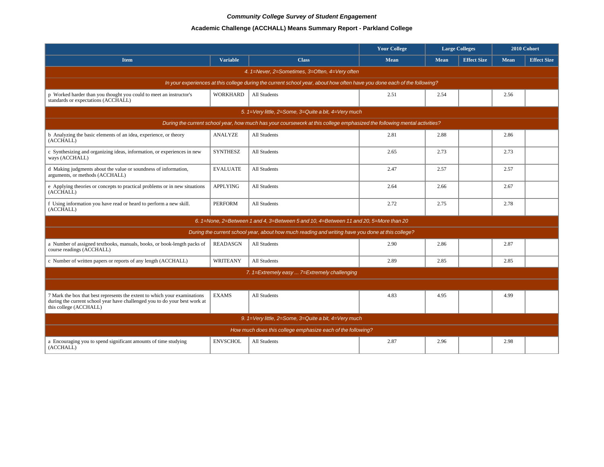# **Academic Challenge (ACCHALL) Means Summary Report - Parkland College**

|                                                                                                                                                                                   |                 |                                                                                                                          | <b>Your College</b> |             | <b>Large Colleges</b> |             | 2010 Cohort        |  |  |  |  |
|-----------------------------------------------------------------------------------------------------------------------------------------------------------------------------------|-----------------|--------------------------------------------------------------------------------------------------------------------------|---------------------|-------------|-----------------------|-------------|--------------------|--|--|--|--|
| <b>Item</b>                                                                                                                                                                       | <b>Variable</b> | <b>Class</b>                                                                                                             | <b>Mean</b>         | <b>Mean</b> | <b>Effect Size</b>    | <b>Mean</b> | <b>Effect Size</b> |  |  |  |  |
|                                                                                                                                                                                   |                 | 4. 1=Never, 2=Sometimes, 3=Often, 4=Very often                                                                           |                     |             |                       |             |                    |  |  |  |  |
|                                                                                                                                                                                   |                 | In your experiences at this college during the current school year, about how often have you done each of the following? |                     |             |                       |             |                    |  |  |  |  |
| p Worked harder than you thought you could to meet an instructor's<br>standards or expectations (ACCHALL)                                                                         | <b>WORKHARD</b> | All Students                                                                                                             | 2.51                | 2.54        |                       | 2.56        |                    |  |  |  |  |
|                                                                                                                                                                                   |                 | 5. $1=$ Very little, 2=Some, 3=Quite a bit, 4=Very much                                                                  |                     |             |                       |             |                    |  |  |  |  |
| During the current school year, how much has your coursework at this college emphasized the following mental activities?                                                          |                 |                                                                                                                          |                     |             |                       |             |                    |  |  |  |  |
| b Analyzing the basic elements of an idea, experience, or theory<br>(ACCHALL)                                                                                                     | <b>ANALYZE</b>  | All Students                                                                                                             | 2.81                | 2.88        |                       | 2.86        |                    |  |  |  |  |
| c Synthesizing and organizing ideas, information, or experiences in new<br>ways (ACCHALL)                                                                                         | <b>SYNTHESZ</b> | All Students                                                                                                             | 2.65                | 2.73        |                       | 2.73        |                    |  |  |  |  |
| d Making judgments about the value or soundness of information,<br>arguments, or methods (ACCHALL)                                                                                | <b>EVALUATE</b> | All Students                                                                                                             | 2.47                | 2.57        |                       | 2.57        |                    |  |  |  |  |
| e Applying theories or concepts to practical problems or in new situations<br>(ACCHALL)                                                                                           | <b>APPLYING</b> | All Students                                                                                                             | 2.64                | 2.66        |                       | 2.67        |                    |  |  |  |  |
| f Using information you have read or heard to perform a new skill.<br>(ACCHALL)                                                                                                   | <b>PERFORM</b>  | All Students                                                                                                             | 2.72                | 2.75        |                       | 2.78        |                    |  |  |  |  |
|                                                                                                                                                                                   |                 | 6. 1=None, 2=Between 1 and 4, 3=Between 5 and 10, 4=Between 11 and 20, 5=More than 20                                    |                     |             |                       |             |                    |  |  |  |  |
|                                                                                                                                                                                   |                 | During the current school year, about how much reading and writing have you done at this college?                        |                     |             |                       |             |                    |  |  |  |  |
| a Number of assigned textbooks, manuals, books, or book-length packs of<br>course readings (ACCHALL)                                                                              | <b>READASGN</b> | All Students                                                                                                             | 2.90                | 2.86        |                       | 2.87        |                    |  |  |  |  |
| c Number of written papers or reports of any length (ACCHALL)                                                                                                                     | WRITEANY        | All Students                                                                                                             | 2.89                | 2.85        |                       | 2.85        |                    |  |  |  |  |
|                                                                                                                                                                                   |                 | 7. 1=Extremely easy  7=Extremely challenging                                                                             |                     |             |                       |             |                    |  |  |  |  |
|                                                                                                                                                                                   |                 |                                                                                                                          |                     |             |                       |             |                    |  |  |  |  |
| 7 Mark the box that best represents the extent to which your examinations<br>during the current school year have challenged you to do your best work at<br>this college (ACCHALL) | <b>EXAMS</b>    | All Students                                                                                                             | 4.83                | 4.95        |                       | 4.99        |                    |  |  |  |  |
|                                                                                                                                                                                   |                 | 9. 1=Very little, 2=Some, 3=Quite a bit, 4=Very much                                                                     |                     |             |                       |             |                    |  |  |  |  |
|                                                                                                                                                                                   |                 | How much does this college emphasize each of the following?                                                              |                     |             |                       |             |                    |  |  |  |  |
| a Encouraging you to spend significant amounts of time studying<br>(ACCHALL)                                                                                                      | <b>ENVSCHOL</b> | All Students                                                                                                             | 2.87                | 2.96        |                       | 2.98        |                    |  |  |  |  |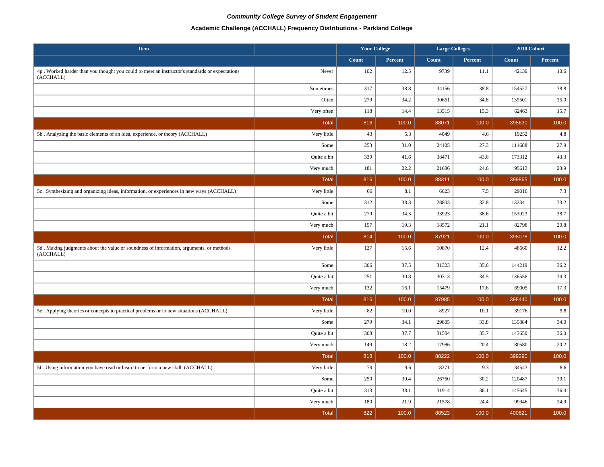### **Academic Challenge (ACCHALL) Frequency Distributions - Parkland College**

| <b>Item</b>                                                                                                 |              | <b>Your College</b> |         | <b>Large Colleges</b> |         | 2010 Cohort  |         |
|-------------------------------------------------------------------------------------------------------------|--------------|---------------------|---------|-----------------------|---------|--------------|---------|
|                                                                                                             |              | Count               | Percent | <b>Count</b>          | Percent | <b>Count</b> | Percent |
| 4p. Worked harder than you thought you could to meet an instructor's standards or expectations<br>(ACCHALL) | Never        | 102                 | 12.5    | 9739                  | 11.1    | 42139        | 10.6    |
|                                                                                                             | Sometimes    | 317                 | 38.8    | 34156                 | 38.8    | 154527       | 38.8    |
|                                                                                                             | Often        | 279                 | 34.2    | 30661                 | 34.8    | 139501       | 35.0    |
|                                                                                                             | Very often   | 118                 | 14.4    | 13515                 | 15.3    | 62463        | 15.7    |
|                                                                                                             | <b>Total</b> | 816                 | 100.0   | 88071                 | 100.0   | 398630       | 100.0   |
| 5b. Analyzing the basic elements of an idea, experience, or theory (ACCHALL)                                | Very little  | 43                  | 5.3     | 4049                  | 4.6     | 19252        | 4.8     |
|                                                                                                             | Some         | 253                 | 31.0    | 24105                 | 27.3    | 111688       | 27.9    |
|                                                                                                             | Quite a bit  | 339                 | 41.6    | 38471                 | 43.6    | 173312       | 43.3    |
|                                                                                                             | Very much    | 181                 | 22.2    | 21686                 | 24.6    | 95613        | 23.9    |
|                                                                                                             | <b>Total</b> | 816                 | 100.0   | 88311                 | 100.0   | 399865       | 100.0   |
| 5c. Synthesizing and organizing ideas, information, or experiences in new ways (ACCHALL)                    | Very little  | 66                  | 8.1     | 6623                  | 7.5     | 29016        | 7.3     |
|                                                                                                             | Some         | 312                 | 38.3    | 28803                 | 32.8    | 132341       | 33.2    |
|                                                                                                             | Quite a bit  | 279                 | 34.3    | 33923                 | 38.6    | 153923       | 38.7    |
|                                                                                                             | Very much    | 157                 | 19.3    | 18572                 | 21.1    | 82798        | 20.8    |
|                                                                                                             | <b>Total</b> | 814                 | 100.0   | 87921                 | 100.0   | 398078       | 100.0   |
| 5d. Making judgments about the value or soundness of information, arguments, or methods<br>(ACCHALL)        | Very little  | 127                 | 15.6    | 10870                 | 12.4    | 48660        | 12.2    |
|                                                                                                             | Some         | 306                 | 37.5    | 31323                 | 35.6    | 144219       | 36.2    |
|                                                                                                             | Quite a bit  | 251                 | 30.8    | 30313                 | 34.5    | 136556       | 34.3    |
|                                                                                                             | Very much    | 132                 | 16.1    | 15479                 | 17.6    | 69005        | 17.3    |
|                                                                                                             | <b>Total</b> | 816                 | 100.0   | 87985                 | 100.0   | 398440       | 100.0   |
| 5e . Applying theories or concepts to practical problems or in new situations (ACCHALL)                     | Very little  | 82                  | 10.0    | 8927                  | 10.1    | 39176        | 9.8     |
|                                                                                                             | Some         | 279                 | 34.1    | 29805                 | 33.8    | 135884       | 34.0    |
|                                                                                                             | Quite a bit  | 308                 | 37.7    | 31504                 | 35.7    | 143650       | 36.0    |
|                                                                                                             | Very much    | 149                 | 18.2    | 17986                 | 20.4    | 80580        | 20.2    |
|                                                                                                             | <b>Total</b> | 818                 | 100.0   | 88222                 | 100.0   | 399290       | 100.0   |
| 5f. Using information you have read or heard to perform a new skill. (ACCHALL)                              | Very little  | 79                  | 9.6     | 8271                  | 9.3     | 34543        | 8.6     |
|                                                                                                             | Some         | 250                 | 30.4    | 26760                 | 30.2    | 120487       | 30.1    |
|                                                                                                             | Quite a bit  | 313                 | 38.1    | 31914                 | 36.1    | 145645       | 36.4    |
|                                                                                                             | Very much    | 180                 | 21.9    | 21578                 | 24.4    | 99946        | 24.9    |
|                                                                                                             | <b>Total</b> | 822                 | 100.0   | 88523                 | 100.0   | 400621       | 100.0   |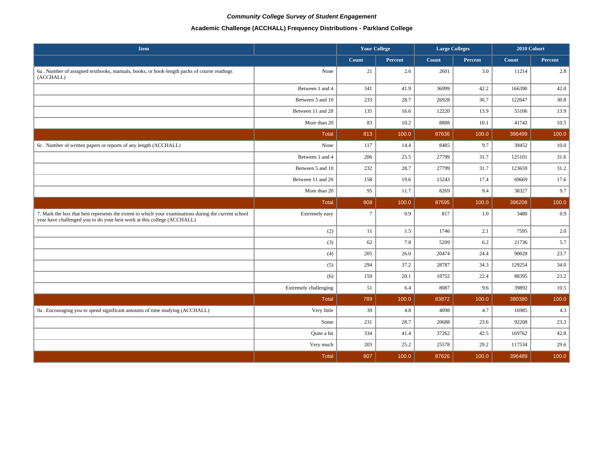# **Academic Challenge (ACCHALL) Frequency Distributions - Parkland College**

| <b>Item</b>                                                                                                                                                                     |                       | <b>Your College</b> |                | <b>Large Colleges</b> |         | 2010 Cohort |         |
|---------------------------------------------------------------------------------------------------------------------------------------------------------------------------------|-----------------------|---------------------|----------------|-----------------------|---------|-------------|---------|
|                                                                                                                                                                                 |                       | Count               | <b>Percent</b> | Count                 | Percent | Count       | Percent |
| 6a. Number of assigned textbooks, manuals, books, or book-length packs of course readings<br>(ACCHALL)                                                                          | None                  | 21                  | 2.6            | 2601                  | 3.0     | 11214       | 2.8     |
|                                                                                                                                                                                 | Between 1 and 4       | 341                 | 41.9           | 36999                 | 42.2    | 166390      | 42.0    |
|                                                                                                                                                                                 | Between 5 and 10      | 233                 | 28.7           | 26928                 | 30.7    | 122047      | 30.8    |
|                                                                                                                                                                                 | Between 11 and 20     | 135                 | 16.6           | 12220                 | 13.9    | 55106       | 13.9    |
|                                                                                                                                                                                 | More than 20          | 83                  | 10.2           | 8888                  | 10.1    | 41742       | 10.5    |
|                                                                                                                                                                                 | <b>Total</b>          | 813                 | 100.0          | 87636                 | 100.0   | 396499      | 100.0   |
| 6c. Number of written papers or reports of any length (ACCHALL)                                                                                                                 | None                  | 117                 | 14.4           | 8485                  | 9.7     | 39452       | 10.0    |
|                                                                                                                                                                                 | Between 1 and 4       | 206                 | 25.5           | 27799                 | 31.7    | 125101      | 31.6    |
|                                                                                                                                                                                 | Between 5 and 10      | 232                 | 28.7           | 27799                 | 31.7    | 123659      | 31.2    |
|                                                                                                                                                                                 | Between 11 and 20     | 158                 | 19.6           | 15243                 | 17.4    | 69669       | 17.6    |
|                                                                                                                                                                                 | More than 20          | 95                  | 11.7           | 8269                  | 9.4     | 38327       | 9.7     |
|                                                                                                                                                                                 | <b>Total</b>          | 808                 | 100.0          | 87595                 | 100.0   | 396208      | 100.0   |
| 7. Mark the box that best represents the extent to which your examinations during the current school<br>year have challenged you to do your best work at this college (ACCHALL) | Extremely easy        | $\overline{7}$      | 0.9            | 817                   | 1.0     | 3480        | 0.9     |
|                                                                                                                                                                                 | (2)                   | 11                  | $1.5$          | 1746                  | 2.1     | 7595        | 2.0     |
|                                                                                                                                                                                 | (3)                   | 62                  | 7.8            | 5209                  | 6.2     | 21736       | 5.7     |
|                                                                                                                                                                                 | (4)                   | 205                 | 26.0           | 20474                 | 24.4    | 90028       | 23.7    |
|                                                                                                                                                                                 | (5)                   | 294                 | 37.2           | 28787                 | 34.3    | 129254      | 34.0    |
|                                                                                                                                                                                 | (6)                   | 159                 | 20.1           | 18752                 | 22.4    | 88395       | 23.2    |
|                                                                                                                                                                                 | Extremely challenging | 51                  | 6.4            | 8087                  | 9.6     | 39892       | 10.5    |
|                                                                                                                                                                                 | <b>Total</b>          | 789                 | 100.0          | 83872                 | 100.0   | 380380      | 100.0   |
| 9a. Encouraging you to spend significant amounts of time studying (ACCHALL)                                                                                                     | Very little           | 39                  | 4.8            | 4098                  | 4.7     | 16985       | 4.3     |
|                                                                                                                                                                                 | Some                  | 231                 | 28.7           | 20688                 | 23.6    | 92208       | 23.3    |
|                                                                                                                                                                                 | Quite a bit           | 334                 | 41.4           | 37262                 | 42.5    | 169762      | 42.8    |
|                                                                                                                                                                                 | Very much             | 203                 | 25.2           | 25578                 | 29.2    | 117534      | 29.6    |
|                                                                                                                                                                                 | <b>Total</b>          | 807                 | 100.0          | 87626                 | 100.0   | 396489      | 100.0   |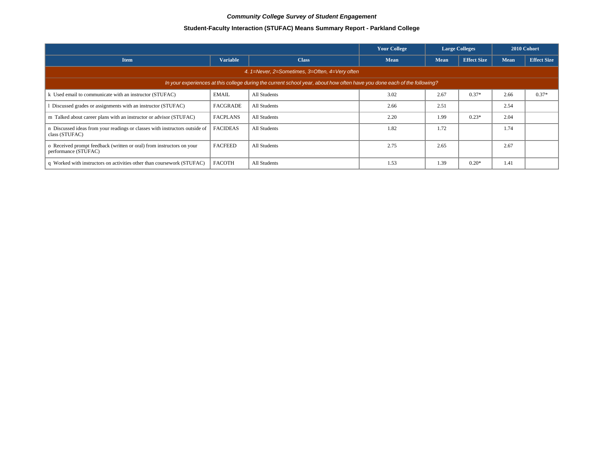# **Student-Faculty Interaction (STUFAC) Means Summary Report - Parkland College**

|                                                                                               |                                                |                                                                                                                          | <b>Your College</b> |             | <b>Large Colleges</b> | 2010 Cohort |                    |  |  |  |  |
|-----------------------------------------------------------------------------------------------|------------------------------------------------|--------------------------------------------------------------------------------------------------------------------------|---------------------|-------------|-----------------------|-------------|--------------------|--|--|--|--|
| <b>Item</b>                                                                                   | <b>Variable</b>                                | <b>Class</b>                                                                                                             | <b>Mean</b>         | <b>Mean</b> | <b>Effect Size</b>    | Mean        | <b>Effect Size</b> |  |  |  |  |
|                                                                                               | 4. 1=Never, 2=Sometimes, 3=Often, 4=Very often |                                                                                                                          |                     |             |                       |             |                    |  |  |  |  |
|                                                                                               |                                                | In your experiences at this college during the current school year, about how often have you done each of the following? |                     |             |                       |             |                    |  |  |  |  |
| k Used email to communicate with an instructor (STUFAC)                                       | <b>EMAIL</b>                                   | All Students                                                                                                             | 3.02                | 2.67        | $0.37*$               | 2.66        | $0.37*$            |  |  |  |  |
| Discussed grades or assignments with an instructor (STUFAC)                                   | <b>FACGRADE</b>                                | All Students                                                                                                             | 2.66                | 2.51        |                       | 2.54        |                    |  |  |  |  |
| m Talked about career plans with an instructor or advisor (STUFAC)                            | <b>FACPLANS</b>                                | All Students                                                                                                             | 2.20                | 1.99        | $0.23*$               | 2.04        |                    |  |  |  |  |
| n Discussed ideas from your readings or classes with instructors outside of<br>class (STUFAC) | <b>FACIDEAS</b>                                | All Students                                                                                                             | 1.82                | 1.72        |                       | 1.74        |                    |  |  |  |  |
| o Received prompt feedback (written or oral) from instructors on your<br>performance (STUFAC) | <b>FACFEED</b>                                 | All Students                                                                                                             | 2.75                | 2.65        |                       | 2.67        |                    |  |  |  |  |
| q Worked with instructors on activities other than coursework (STUFAC)                        | <b>FACOTH</b>                                  | All Students                                                                                                             | 1.53                | 1.39        | $0.20*$               | 1.41        |                    |  |  |  |  |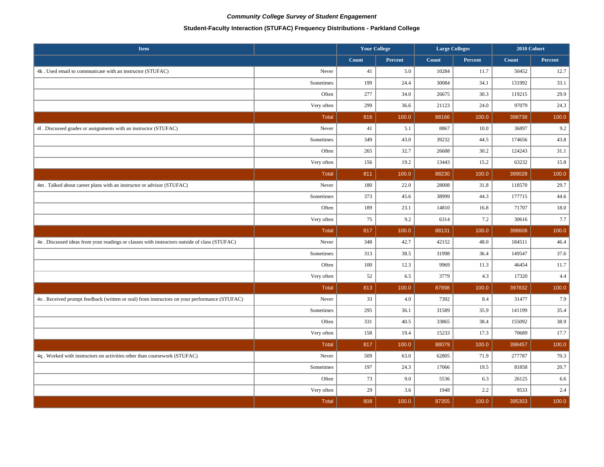# **Student-Faculty Interaction (STUFAC) Frequency Distributions - Parkland College**

| <b>Item</b>                                                                                   |              | <b>Your College</b> |         | <b>Large Colleges</b> |         | 2010 Cohort |         |
|-----------------------------------------------------------------------------------------------|--------------|---------------------|---------|-----------------------|---------|-------------|---------|
|                                                                                               |              | Count               | Percent | Count                 | Percent | Count       | Percent |
| 4k. Used email to communicate with an instructor (STUFAC)                                     | Never        | 41                  | 5.0     | 10284                 | 11.7    | 50452       | 12.7    |
|                                                                                               | Sometimes    | 199                 | 24.4    | 30084                 | 34.1    | 131992      | 33.1    |
|                                                                                               | Often        | 277                 | 34.0    | 26675                 | 30.3    | 119215      | 29.9    |
|                                                                                               | Very often   | 299                 | 36.6    | 21123                 | 24.0    | 97079       | 24.3    |
|                                                                                               | <b>Total</b> | 816                 | 100.0   | 88166                 | 100.0   | 398738      | 100.0   |
| 41. Discussed grades or assignments with an instructor (STUFAC)                               | Never        | 41                  | 5.1     | 8867                  | 10.0    | 36897       | 9.2     |
|                                                                                               | Sometimes    | 349                 | 43.0    | 39232                 | 44.5    | 174656      | 43.8    |
|                                                                                               | Often        | 265                 | 32.7    | 26688                 | 30.2    | 124243      | 31.1    |
|                                                                                               | Very often   | 156                 | 19.2    | 13443                 | 15.2    | 63232       | 15.8    |
|                                                                                               | <b>Total</b> | 811                 | 100.0   | 88230                 | 100.0   | 399028      | 100.0   |
| 4m. Talked about career plans with an instructor or advisor (STUFAC)                          | Never        | 180                 | 22.0    | 28008                 | 31.8    | 118570      | 29.7    |
|                                                                                               | Sometimes    | 373                 | 45.6    | 38999                 | 44.3    | 177715      | 44.6    |
|                                                                                               | Often        | 189                 | 23.1    | 14810                 | 16.8    | 71707       | 18.0    |
|                                                                                               | Very often   | 75                  | 9.2     | 6314                  | 7.2     | 30616       | 7.7     |
|                                                                                               | Total        | 817                 | 100.0   | 88131                 | 100.0   | 398608      | 100.0   |
| 4n. Discussed ideas from your readings or classes with instructors outside of class (STUFAC)  | Never        | 348                 | 42.7    | 42152                 | 48.0    | 184511      | 46.4    |
|                                                                                               | Sometimes    | 313                 | 38.5    | 31998                 | 36.4    | 149547      | 37.6    |
|                                                                                               | Often        | 100                 | 12.3    | 9969                  | 11.3    | 46454       | 11.7    |
|                                                                                               | Very often   | 52                  | 6.5     | 3779                  | 4.3     | 17320       | 4.4     |
|                                                                                               | <b>Total</b> | 813                 | 100.0   | 87898                 | 100.0   | 397832      | 100.0   |
| 4o . Received prompt feedback (written or oral) from instructors on your performance (STUFAC) | Never        | 33                  | 4.0     | 7392                  | 8.4     | 31477       | 7.9     |
|                                                                                               | Sometimes    | 295                 | 36.1    | 31589                 | 35.9    | 141199      | 35.4    |
|                                                                                               | Often        | 331                 | 40.5    | 33865                 | 38.4    | 155092      | 38.9    |
|                                                                                               | Very often   | 158                 | 19.4    | 15233                 | 17.3    | 70689       | 17.7    |
|                                                                                               | <b>Total</b> | 817                 | 100.0   | 88079                 | 100.0   | 398457      | 100.0   |
| 4q. Worked with instructors on activities other than coursework (STUFAC)                      | Never        | 509                 | 63.0    | 62805                 | 71.9    | 277787      | 70.3    |
|                                                                                               | Sometimes    | 197                 | 24.3    | 17066                 | 19.5    | 81858       | 20.7    |
|                                                                                               | Often        | 73                  | 9.0     | 5536                  | 6.3     | 26125       | 6.6     |
|                                                                                               | Very often   | 29                  | 3.6     | 1948                  | 2.2     | 9533        | 2.4     |
|                                                                                               | <b>Total</b> | 808                 | 100.0   | 87355                 | 100.0   | 395303      | 100.0   |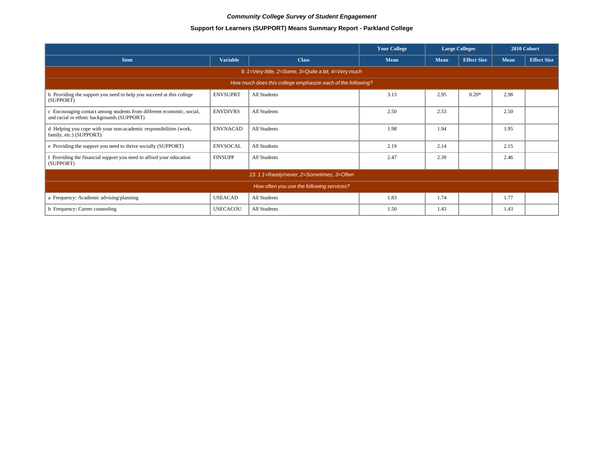# **Support for Learners (SUPPORT) Means Summary Report - Parkland College**

|                                                                                                                     |                 |              | <b>Your College</b> | <b>Large Colleges</b> |                    | 2010 Cohort |                    |  |  |
|---------------------------------------------------------------------------------------------------------------------|-----------------|--------------|---------------------|-----------------------|--------------------|-------------|--------------------|--|--|
| <b>Item</b>                                                                                                         | <b>Variable</b> | <b>Class</b> | <b>Mean</b>         | <b>Mean</b>           | <b>Effect Size</b> | <b>Mean</b> | <b>Effect Size</b> |  |  |
| 9. 1=Very little, 2=Some, 3=Quite a bit, 4=Very much                                                                |                 |              |                     |                       |                    |             |                    |  |  |
| How much does this college emphasize each of the following?                                                         |                 |              |                     |                       |                    |             |                    |  |  |
| b Providing the support you need to help you succeed at this college<br>(SUPPORT)                                   | <b>ENVSUPRT</b> | All Students | 3.13                | 2.95                  | $0.20*$            | 2.98        |                    |  |  |
| c Encouraging contact among students from different economic, social,<br>and racial or ethnic backgrounds (SUPPORT) | <b>ENVDIVRS</b> | All Students | 2.50                | 2.53                  |                    | 2.50        |                    |  |  |
| d Helping you cope with your non-academic responsibilities (work,<br>family, etc.) (SUPPORT)                        | <b>ENVNACAD</b> | All Students | 1.98                | 1.94                  |                    | 1.95        |                    |  |  |
| e Providing the support you need to thrive socially (SUPPORT)                                                       | <b>ENVSOCAL</b> | All Students | 2.19                | 2.14                  |                    | 2.15        |                    |  |  |
| f Providing the financial support you need to afford your education<br>(SUPPORT)                                    | <b>FINSUPP</b>  | All Students | 2.47                | 2.39                  |                    | 2.46        |                    |  |  |
| 13. 1 1=Rarely/never, 2=Sometimes, 3=Often                                                                          |                 |              |                     |                       |                    |             |                    |  |  |
| How often you use the following services?                                                                           |                 |              |                     |                       |                    |             |                    |  |  |
| a Frequency: Academic advising/planning                                                                             | <b>USEACAD</b>  | All Students | 1.83                | 1.74                  |                    | 1.77        |                    |  |  |
| b Frequency: Career counseling                                                                                      | <b>USECACOU</b> | All Students | 1.50                | 1.43                  |                    | 1.43        |                    |  |  |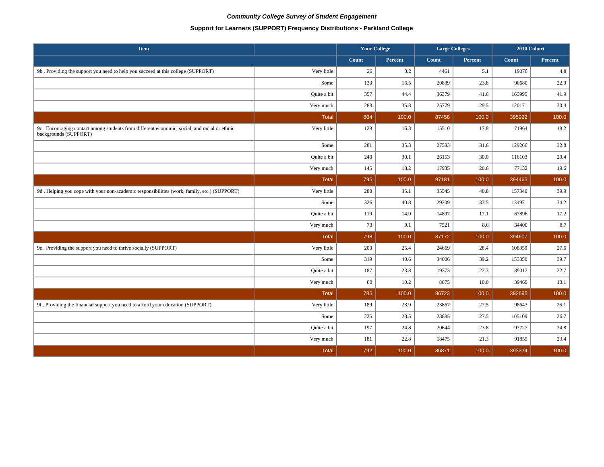# **Support for Learners (SUPPORT) Frequency Distributions - Parkland College**

| <b>Item</b>                                                                                                           |              | <b>Your College</b> |                | <b>Large Colleges</b> |                | 2010 Cohort |         |
|-----------------------------------------------------------------------------------------------------------------------|--------------|---------------------|----------------|-----------------------|----------------|-------------|---------|
|                                                                                                                       |              | Count               | <b>Percent</b> | Count                 | <b>Percent</b> | Count       | Percent |
| 9b. Providing the support you need to help you succeed at this college (SUPPORT)                                      | Very little  | 26                  | 3.2            | 4461                  | 5.1            | 19076       | 4.8     |
|                                                                                                                       | Some         | 133                 | 16.5           | 20839                 | 23.8           | 90680       | 22.9    |
|                                                                                                                       | Quite a bit  | 357                 | 44.4           | 36379                 | 41.6           | 165995      | 41.9    |
|                                                                                                                       | Very much    | 288                 | 35.8           | 25779                 | 29.5           | 120171      | 30.4    |
|                                                                                                                       | Total        | 804                 | 100.0          | 87458                 | 100.0          | 395922      | 100.0   |
| 9c. Encouraging contact among students from different economic, social, and racial or ethnic<br>backgrounds (SUPPORT) | Very little  | 129                 | 16.3           | 15510                 | 17.8           | 71964       | 18.2    |
|                                                                                                                       | Some         | 281                 | 35.3           | 27583                 | 31.6           | 129266      | 32.8    |
|                                                                                                                       | Quite a bit  | 240                 | 30.1           | 26153                 | 30.0           | 116103      | 29.4    |
|                                                                                                                       | Very much    | 145                 | 18.2           | 17935                 | 20.6           | 77132       | 19.6    |
|                                                                                                                       | Total        | 795                 | 100.0          | 87181                 | 100.0          | 394465      | 100.0   |
| 9d. Helping you cope with your non-academic responsibilities (work, family, etc.) (SUPPORT)                           | Very little  | 280                 | 35.1           | 35545                 | 40.8           | 157340      | 39.9    |
|                                                                                                                       | Some         | 326                 | 40.8           | 29209                 | 33.5           | 134971      | 34.2    |
|                                                                                                                       | Quite a bit  | 119                 | 14.9           | 14897                 | 17.1           | 67896       | 17.2    |
|                                                                                                                       | Very much    | 73                  | 9.1            | 7521                  | 8.6            | 34400       | 8.7     |
|                                                                                                                       | Total        | 798                 | 100.0          | 87172                 | 100.0          | 394607      | 100.0   |
| 9e . Providing the support you need to thrive socially (SUPPORT)                                                      | Very little  | 200                 | 25.4           | 24669                 | 28.4           | 108359      | 27.6    |
|                                                                                                                       | Some         | 319                 | 40.6           | 34006                 | 39.2           | 155850      | 39.7    |
|                                                                                                                       | Quite a bit  | 187                 | 23.8           | 19373                 | 22.3           | 89017       | 22.7    |
|                                                                                                                       | Very much    | 80                  | 10.2           | 8675                  | 10.0           | 39469       | 10.1    |
|                                                                                                                       | Total        | 786                 | 100.0          | 86723                 | 100.0          | 392695      | 100.0   |
| 9f. Providing the financial support you need to afford your education (SUPPORT)                                       | Very little  | 189                 | 23.9           | 23867                 | 27.5           | 98643       | 25.1    |
|                                                                                                                       | Some         | 225                 | 28.5           | 23885                 | 27.5           | 105109      | 26.7    |
|                                                                                                                       | Quite a bit  | 197                 | 24.8           | 20644                 | 23.8           | 97727       | 24.8    |
|                                                                                                                       | Very much    | 181                 | 22.8           | 18475                 | 21.3           | 91855       | 23.4    |
|                                                                                                                       | <b>Total</b> | 792                 | 100.0          | 86871                 | 100.0          | 393334      | 100.0   |